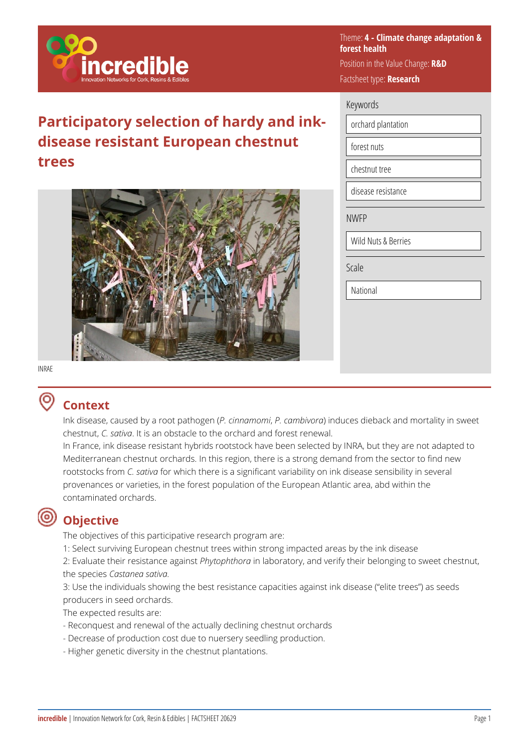

# **Participatory selection of hardy and inkdisease resistant European chestnut trees**



Theme: **4 - Climate change adaptation & forest health**  Position in the Value Change: **R&D**  Factsheet type: **Research** 

#### Keywords

orchard plantation

forest nuts

chestnut tree

disease resistance

NWFP

Wild Nuts & Berries

Scale

National

#### INRAE

## **Context**

Ink disease, caused by a root pathogen (*P. cinnamomi*, *P. cambivora*) induces dieback and mortality in sweet chestnut, *C. sativa*. It is an obstacle to the orchard and forest renewal.

In France, ink disease resistant hybrids rootstock have been selected by INRA, but they are not adapted to Mediterranean chestnut orchards. In this region, there is a strong demand from the sector to find new rootstocks from *C. sativa* for which there is a significant variability on ink disease sensibility in several provenances or varieties, in the forest population of the European Atlantic area, abd within the contaminated orchards.

# **Objective**

The objectives of this participative research program are:

1: Select surviving European chestnut trees within strong impacted areas by the ink disease

2: Evaluate their resistance against *Phytophthora* in laboratory, and verify their belonging to sweet chestnut, the species *Castanea sativa.*

3: Use the individuals showing the best resistance capacities against ink disease ("elite trees") as seeds producers in seed orchards.

The expected results are:

- Reconquest and renewal of the actually declining chestnut orchards
- Decrease of production cost due to nuersery seedling production.
- Higher genetic diversity in the chestnut plantations.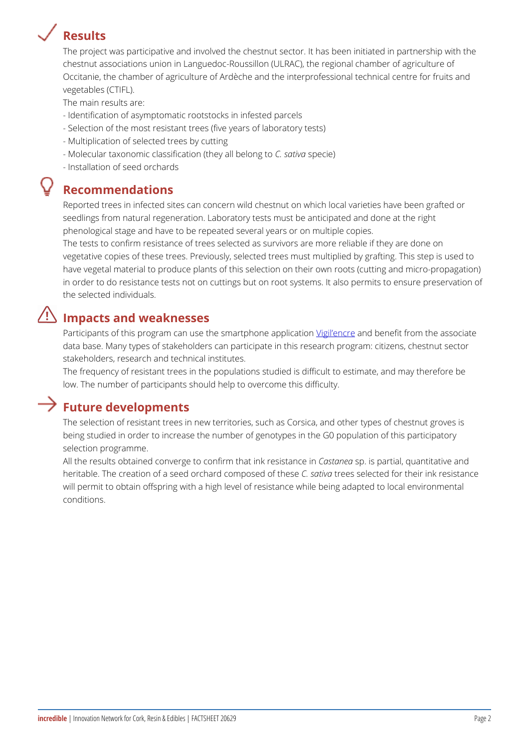## Results

The project was participative and involved the chestnut sector. It has been included in partnership with the in chestnut associations union in Languedoc-Roussillon (ULRAC), the regior Occitanie, the chamber of agriculture of Ardèche and the interprofessiona vegetables (CTIFL).

The main results are:

- Identification of asymptomatic rootstocks in infested parcels
- Selection of the most resistant trees (five years of laboratory tests)
- Multiplication of selected trees by cutting
- Molecular taxonomic classificati**o**n s(a his experience in to
- Installation of seed orchards

#### Recommendations

Reported trees in infected sites can concern wild chestnut on which local seedlings from natural regeneration. Laboratory tests must be anticipated phenological stage and have to be repeated several years or on multiple The tests to confirm resistance of trees selected as survivors are more r vegetative copies of these trees. Previously, selected trees must multipli have vegetal material to produce plants of this selection on their own root in order to do resistance tests not on cuttings but on root systems. It als the selected individuals.

#### Impacts and weaknesses

Participants of this program can use the <u>Vsioniane</u> padmone beame politeration on the assoc data base. Many types of stakeholders can participate in this research pr stakeholders, research and technical institutes.

The frequency of resistant trees in the populations studied is difficult to low. The number of participants should help to overcome this difficulty.

### Future developments

The selection of resistant trees in new territories, such as Corsica, and being studied in order to increase the number of genotypes in the G0 pop selection programme.

All the results obtained converge to conf**Gametahrs and ink pastisatance** aimtitative heritable. The creation of a seed orch@ardsactding engesses ellectende for their ink re will permit to obtain offspring with a high level of resistance while being conditions.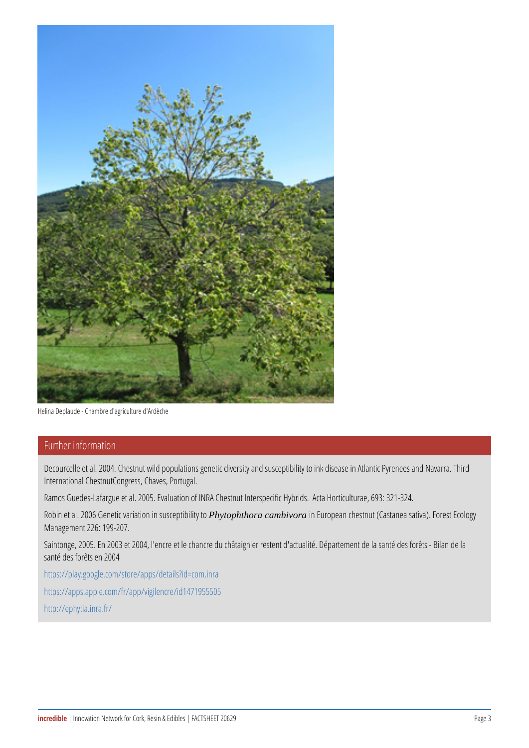Helina Deplaude - Chambre d'agriculture d'Ardèche

## Further information

Decourcelle et al. 2004. Chestnut wild populations genetic diversity and Decourcelle et al. 2004. Chestnut wild populations genetic diversity International ChestnutCongress, Chaves, Portugal.

Ramos Guedes-Lafargue et al. 2005. Evaluation of INRA Chestnut Int

Robin et al. 2006 Genet $P$ hoytopahthicanatic ammbiviorraisnu Escueppiebaihity hteostnut (Castanea Management 226: 199-207.

Saintonge, 2005. En 2003 et 2004, l'encre et le chancre du châtaigni santé des forêts en 2004

[https://play.google.com/s](https://play.google.com/store/apps/details?id=com.inra)tore/apps/details?id=com.inra [https://apps.apple.com/fr](https://apps.apple.com/fr/app/vigilencre/id1471955505)/app/vigilencre/id1471955505 [http://eph](http://ephytia.inra.fr/)ytia.inra.fr/